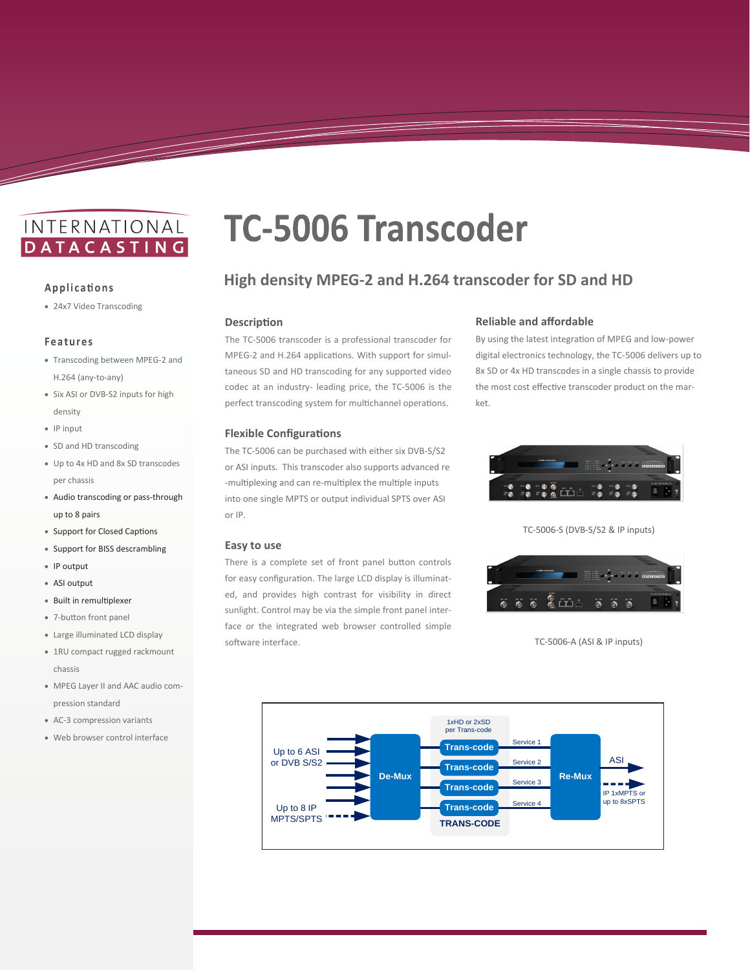# INTERNATIONAL **DATACASTING**

#### Applications

<u>and a shekarar ta shekarar ta 1999 da ga shekarar ta 1999 da ga shekarar ta 1999 da ga shekarar ta 1999 da ga</u>

24x7 Video Transcoding

#### **Features**

- Transcoding between MPEG-2 and H.264 (any-to-any)
- Six ASI or DVB-S2 inputs for high density
- IP input
- SD and HD transcoding
- Up to 4x HD and 8x SD transcodes per chassis
- Audio transcoding or pass-through up to 8 pairs
- Support for Closed Captions
- Support for BISS descrambling
- IP output
- ASI output
- Built in remultiplexer
- 7-button front panel
- Large illuminated LCD display
- 1RU compact rugged rackmount chassis
- MPEG Layer II and AAC audio compression standard
- AC-3 compression variants
- Web browser control interface

# **TC-5006 Transcoder**

## **High density MPEG-2 and H.264 transcoder for SD and HD**

#### **Description**

The TC-5006 transcoder is a professional transcoder for MPEG-2 and H.264 applications. With support for simultaneous SD and HD transcoding for any supported video codec at an industry- leading price, the TC-5006 is the perfect transcoding system for multichannel operations.

#### **Flexible Configurations**

The TC-5006 can be purchased with either six DVB-S/S2 or ASI inputs. This transcoder also supports advanced re -multiplexing and can re-multiplex the multiple inputs into one single MPTS or output individual SPTS over ASI or IP.

#### **Easy to use**

There is a complete set of front panel button controls for easy configuration. The large LCD display is illuminated, and provides high contrast for visibility in direct sunlight. Control may be via the simple front panel interface or the integrated web browser controlled simple software interface.

#### **Reliable and affordable**

By using the latest integration of MPEG and low-power digital electronics technology, the TC-5006 delivers up to 8x SD or 4x HD transcodes in a single chassis to provide the most cost effective transcoder product on the market.



TC-5006-S (DVB-S/S2 & IP inputs)



TC-5006-A (ASI & IP inputs)